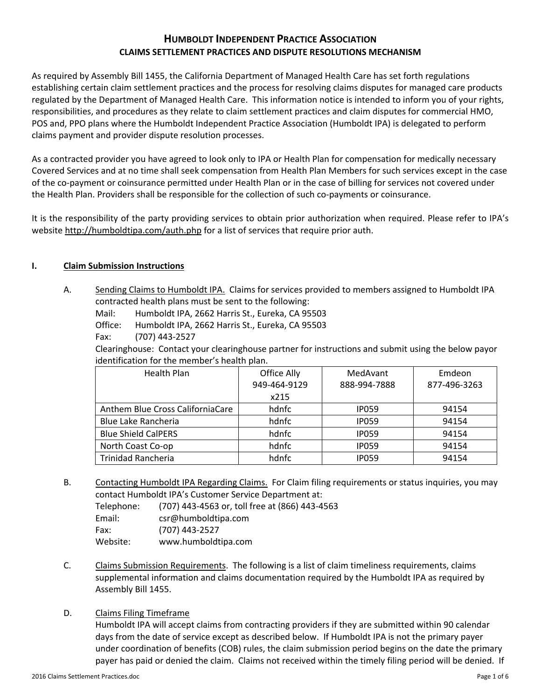# **HUMBOLDT INDEPENDENT PRACTICE ASSOCIATION CLAIMS SETTLEMENT PRACTICES AND DISPUTE RESOLUTIONS MECHANISM**

As required by Assembly Bill 1455, the California Department of Managed Health Care has set forth regulations establishing certain claim settlement practices and the process for resolving claims disputes for managed care products regulated by the Department of Managed Health Care. This information notice is intended to inform you of your rights, responsibilities, and procedures as they relate to claim settlement practices and claim disputes for commercial HMO, POS and, PPO plans where the Humboldt Independent Practice Association (Humboldt IPA) is delegated to perform claims payment and provider dispute resolution processes.

As a contracted provider you have agreed to look only to IPA or Health Plan for compensation for medically necessary Covered Services and at no time shall seek compensation from Health Plan Members for such services except in the case of the co-payment or coinsurance permitted under Health Plan or in the case of billing for services not covered under the Health Plan. Providers shall be responsible for the collection of such co-payments or coinsurance.

It is the responsibility of the party providing services to obtain prior authorization when required. Please refer to IPA's website http://humboldtipa.com/auth.php for a list of services that require prior auth.

### **I. Claim Submission Instructions**

A. Sending Claims to Humboldt IPA. Claims for services provided to members assigned to Humboldt IPA contracted health plans must be sent to the following:

Mail: Humboldt IPA, 2662 Harris St., Eureka, CA 95503

Office: Humboldt IPA, 2662 Harris St., Eureka, CA 95503

Fax: (707) 443‐2527

Clearinghouse: Contact your clearinghouse partner for instructions and submit using the below payor identification for the member's health plan.

| <b>Health Plan</b>                | Office Ally  | MedAvant     | Emdeon       |
|-----------------------------------|--------------|--------------|--------------|
|                                   | 949-464-9129 | 888-994-7888 | 877-496-3263 |
|                                   | x215         |              |              |
| Anthem Blue Cross California Care | hdnfc        | <b>IP059</b> | 94154        |
| Blue Lake Rancheria               | hdnfc        | <b>IP059</b> | 94154        |
| <b>Blue Shield CalPERS</b>        | hdnfc        | <b>IP059</b> | 94154        |
| North Coast Co-op                 | hdnfc        | <b>IP059</b> | 94154        |
| <b>Trinidad Rancheria</b>         | hdnfc        | IP059        | 94154        |

B. Contacting Humboldt IPA Regarding Claims. For Claim filing requirements or status inquiries, you may contact Humboldt IPA's Customer Service Department at:

Telephone: (707) 443‐4563 or, toll free at (866) 443‐4563

Email: csr@humboldtipa.com Fax: (707) 443‐2527

Website: www.humboldtipa.com

C. Claims Submission Requirements. The following is a list of claim timeliness requirements, claims supplemental information and claims documentation required by the Humboldt IPA as required by Assembly Bill 1455.

## D. Claims Filing Timeframe

Humboldt IPA will accept claims from contracting providers if they are submitted within 90 calendar days from the date of service except as described below. If Humboldt IPA is not the primary payer under coordination of benefits (COB) rules, the claim submission period begins on the date the primary payer has paid or denied the claim. Claims not received within the timely filing period will be denied. If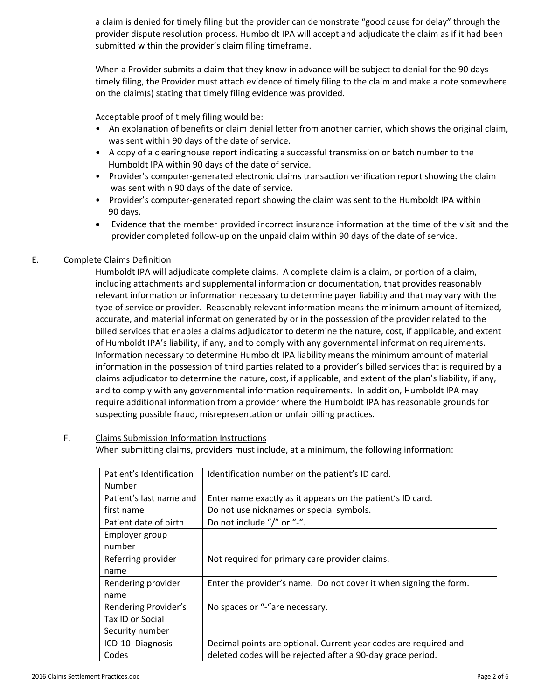a claim is denied for timely filing but the provider can demonstrate "good cause for delay" through the provider dispute resolution process, Humboldt IPA will accept and adjudicate the claim as if it had been submitted within the provider's claim filing timeframe.

When a Provider submits a claim that they know in advance will be subject to denial for the 90 days timely filing, the Provider must attach evidence of timely filing to the claim and make a note somewhere on the claim(s) stating that timely filing evidence was provided.

Acceptable proof of timely filing would be:

- An explanation of benefits or claim denial letter from another carrier, which shows the original claim, was sent within 90 days of the date of service.
- A copy of a clearinghouse report indicating a successful transmission or batch number to the Humboldt IPA within 90 days of the date of service.
- Provider's computer-generated electronic claims transaction verification report showing the claim was sent within 90 days of the date of service.
- Provider's computer-generated report showing the claim was sent to the Humboldt IPA within 90 days.
- Evidence that the member provided incorrect insurance information at the time of the visit and the provider completed follow‐up on the unpaid claim within 90 days of the date of service.

## E. Complete Claims Definition

Humboldt IPA will adjudicate complete claims. A complete claim is a claim, or portion of a claim, including attachments and supplemental information or documentation, that provides reasonably relevant information or information necessary to determine payer liability and that may vary with the type of service or provider. Reasonably relevant information means the minimum amount of itemized, accurate, and material information generated by or in the possession of the provider related to the billed services that enables a claims adjudicator to determine the nature, cost, if applicable, and extent of Humboldt IPA's liability, if any, and to comply with any governmental information requirements. Information necessary to determine Humboldt IPA liability means the minimum amount of material information in the possession of third parties related to a provider's billed services that is required by a claims adjudicator to determine the nature, cost, if applicable, and extent of the plan's liability, if any, and to comply with any governmental information requirements. In addition, Humboldt IPA may require additional information from a provider where the Humboldt IPA has reasonable grounds for suspecting possible fraud, misrepresentation or unfair billing practices.

#### F. Claims Submission Information Instructions

When submitting claims, providers must include, at a minimum, the following information:

| Patient's Identification | Identification number on the patient's ID card.                   |
|--------------------------|-------------------------------------------------------------------|
| Number                   |                                                                   |
|                          |                                                                   |
| Patient's last name and  | Enter name exactly as it appears on the patient's ID card.        |
| first name               | Do not use nicknames or special symbols.                          |
| Patient date of birth    | Do not include "/" or "-".                                        |
| Employer group           |                                                                   |
| number                   |                                                                   |
| Referring provider       | Not required for primary care provider claims.                    |
| name                     |                                                                   |
| Rendering provider       | Enter the provider's name. Do not cover it when signing the form. |
| name                     |                                                                   |
| Rendering Provider's     | No spaces or "-"are necessary.                                    |
| Tax ID or Social         |                                                                   |
| Security number          |                                                                   |
| ICD-10 Diagnosis         | Decimal points are optional. Current year codes are required and  |
| Codes                    | deleted codes will be rejected after a 90-day grace period.       |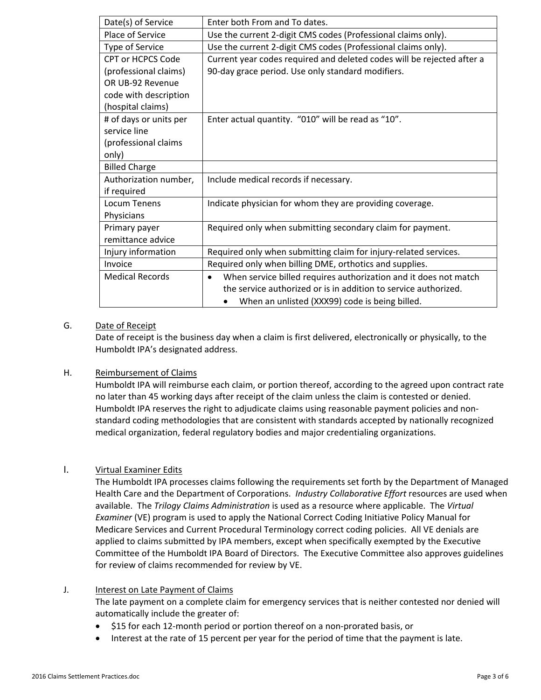| Date(s) of Service       | Enter both From and To dates.                                                 |  |
|--------------------------|-------------------------------------------------------------------------------|--|
| Place of Service         | Use the current 2-digit CMS codes (Professional claims only).                 |  |
| Type of Service          | Use the current 2-digit CMS codes (Professional claims only).                 |  |
| <b>CPT or HCPCS Code</b> | Current year codes required and deleted codes will be rejected after a        |  |
| (professional claims)    | 90-day grace period. Use only standard modifiers.                             |  |
| OR UB-92 Revenue         |                                                                               |  |
| code with description    |                                                                               |  |
| (hospital claims)        |                                                                               |  |
| # of days or units per   | Enter actual quantity. "010" will be read as "10".                            |  |
| service line             |                                                                               |  |
| (professional claims     |                                                                               |  |
| only)                    |                                                                               |  |
| <b>Billed Charge</b>     |                                                                               |  |
| Authorization number,    | Include medical records if necessary.                                         |  |
| if required              |                                                                               |  |
| <b>Locum Tenens</b>      | Indicate physician for whom they are providing coverage.                      |  |
| Physicians               |                                                                               |  |
| Primary payer            | Required only when submitting secondary claim for payment.                    |  |
| remittance advice        |                                                                               |  |
| Injury information       | Required only when submitting claim for injury-related services.              |  |
| Invoice                  | Required only when billing DME, orthotics and supplies.                       |  |
| <b>Medical Records</b>   | When service billed requires authorization and it does not match<br>$\bullet$ |  |
|                          | the service authorized or is in addition to service authorized.               |  |
|                          | When an unlisted (XXX99) code is being billed.                                |  |

### G. Date of Receipt

Date of receipt is the business day when a claim is first delivered, electronically or physically, to the Humboldt IPA's designated address.

#### H. Reimbursement of Claims

Humboldt IPA will reimburse each claim, or portion thereof, according to the agreed upon contract rate no later than 45 working days after receipt of the claim unless the claim is contested or denied. Humboldt IPA reserves the right to adjudicate claims using reasonable payment policies and non‐ standard coding methodologies that are consistent with standards accepted by nationally recognized medical organization, federal regulatory bodies and major credentialing organizations.

#### I. Virtual Examiner Edits

The Humboldt IPA processes claims following the requirements set forth by the Department of Managed Health Care and the Department of Corporations. *Industry Collaborative Effort* resources are used when available. The *Trilogy Claims Administration* is used as a resource where applicable. The *Virtual Examiner* (VE) program is used to apply the National Correct Coding Initiative Policy Manual for Medicare Services and Current Procedural Terminology correct coding policies. All VE denials are applied to claims submitted by IPA members, except when specifically exempted by the Executive Committee of the Humboldt IPA Board of Directors. The Executive Committee also approves guidelines for review of claims recommended for review by VE.

#### J. Interest on Late Payment of Claims

The late payment on a complete claim for emergency services that is neither contested nor denied will automatically include the greater of:

- \$15 for each 12‐month period or portion thereof on a non‐prorated basis, or
- Interest at the rate of 15 percent per year for the period of time that the payment is late.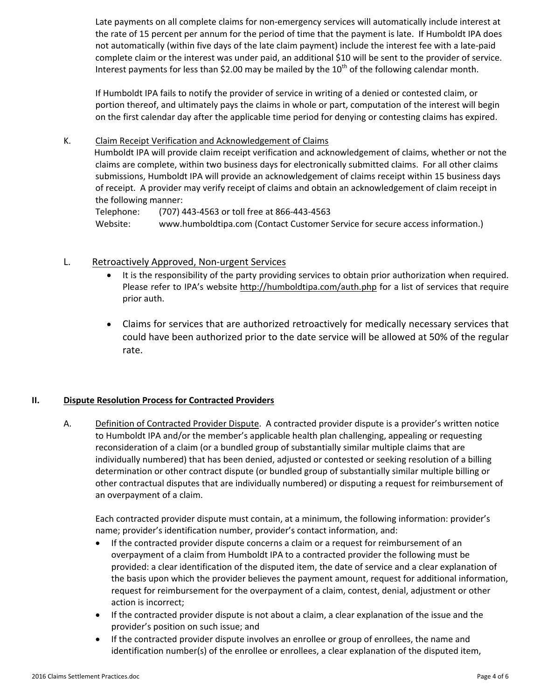Late payments on all complete claims for non-emergency services will automatically include interest at the rate of 15 percent per annum for the period of time that the payment is late. If Humboldt IPA does not automatically (within five days of the late claim payment) include the interest fee with a late‐paid complete claim or the interest was under paid, an additional \$10 will be sent to the provider of service. Interest payments for less than \$2.00 may be mailed by the  $10<sup>th</sup>$  of the following calendar month.

If Humboldt IPA fails to notify the provider of service in writing of a denied or contested claim, or portion thereof, and ultimately pays the claims in whole or part, computation of the interest will begin on the first calendar day after the applicable time period for denying or contesting claims has expired.

K. Claim Receipt Verification and Acknowledgement of Claims Humboldt IPA will provide claim receipt verification and acknowledgement of claims, whether or not the claims are complete, within two business days for electronically submitted claims. For all other claims submissions, Humboldt IPA will provide an acknowledgement of claims receipt within 15 business days of receipt. A provider may verify receipt of claims and obtain an acknowledgement of claim receipt in the following manner:

Telephone: (707) 443‐4563 or toll free at 866‐443‐4563 Website: www.humboldtipa.com (Contact Customer Service for secure access information.)

## L. Retroactively Approved, Non-urgent Services

- It is the responsibility of the party providing services to obtain prior authorization when required. Please refer to IPA's website http://humboldtipa.com/auth.php for a list of services that require prior auth.
- Claims for services that are authorized retroactively for medically necessary services that could have been authorized prior to the date service will be allowed at 50% of the regular rate.

## **II. Dispute Resolution Process for Contracted Providers**

A. Definition of Contracted Provider Dispute. A contracted provider dispute is a provider's written notice to Humboldt IPA and/or the member's applicable health plan challenging, appealing or requesting reconsideration of a claim (or a bundled group of substantially similar multiple claims that are individually numbered) that has been denied, adjusted or contested or seeking resolution of a billing determination or other contract dispute (or bundled group of substantially similar multiple billing or other contractual disputes that are individually numbered) or disputing a request for reimbursement of an overpayment of a claim.

Each contracted provider dispute must contain, at a minimum, the following information: provider's name; provider's identification number, provider's contact information, and:

- If the contracted provider dispute concerns a claim or a request for reimbursement of an overpayment of a claim from Humboldt IPA to a contracted provider the following must be provided: a clear identification of the disputed item, the date of service and a clear explanation of the basis upon which the provider believes the payment amount, request for additional information, request for reimbursement for the overpayment of a claim, contest, denial, adjustment or other action is incorrect;
- If the contracted provider dispute is not about a claim, a clear explanation of the issue and the provider's position on such issue; and
- If the contracted provider dispute involves an enrollee or group of enrollees, the name and identification number(s) of the enrollee or enrollees, a clear explanation of the disputed item,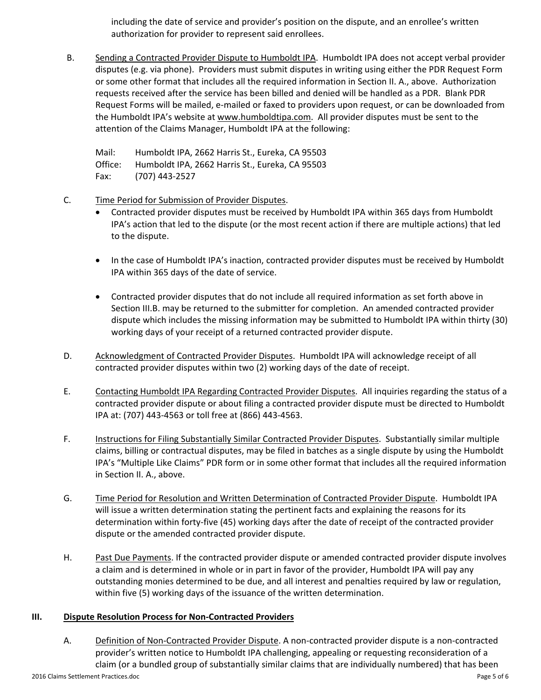including the date of service and provider's position on the dispute, and an enrollee's written authorization for provider to represent said enrollees.

B. Sending a Contracted Provider Dispute to Humboldt IPA. Humboldt IPA does not accept verbal provider disputes (e.g. via phone). Providers must submit disputes in writing using either the PDR Request Form or some other format that includes all the required information in Section II. A., above. Authorization requests received after the service has been billed and denied will be handled as a PDR. Blank PDR Request Forms will be mailed, e‐mailed or faxed to providers upon request, or can be downloaded from the Humboldt IPA's website at www.humboldtipa.com. All provider disputes must be sent to the attention of the Claims Manager, Humboldt IPA at the following:

Mail: Humboldt IPA, 2662 Harris St., Eureka, CA 95503 Office: Humboldt IPA, 2662 Harris St., Eureka, CA 95503 Fax: (707) 443‐2527

- C. Time Period for Submission of Provider Disputes.
	- Contracted provider disputes must be received by Humboldt IPA within 365 days from Humboldt IPA's action that led to the dispute (or the most recent action if there are multiple actions) that led to the dispute.
	- In the case of Humboldt IPA's inaction, contracted provider disputes must be received by Humboldt IPA within 365 days of the date of service.
	- Contracted provider disputes that do not include all required information as set forth above in Section III.B. may be returned to the submitter for completion. An amended contracted provider dispute which includes the missing information may be submitted to Humboldt IPA within thirty (30) working days of your receipt of a returned contracted provider dispute.
- D. Acknowledgment of Contracted Provider Disputes. Humboldt IPA will acknowledge receipt of all contracted provider disputes within two (2) working days of the date of receipt.
- E. Contacting Humboldt IPA Regarding Contracted Provider Disputes. All inquiries regarding the status of a contracted provider dispute or about filing a contracted provider dispute must be directed to Humboldt IPA at: (707) 443‐4563 or toll free at (866) 443‐4563.
- F. Instructions for Filing Substantially Similar Contracted Provider Disputes. Substantially similar multiple claims, billing or contractual disputes, may be filed in batches as a single dispute by using the Humboldt IPA's "Multiple Like Claims" PDR form or in some other format that includes all the required information in Section II. A., above.
- G. Time Period for Resolution and Written Determination of Contracted Provider Dispute. Humboldt IPA will issue a written determination stating the pertinent facts and explaining the reasons for its determination within forty‐five (45) working days after the date of receipt of the contracted provider dispute or the amended contracted provider dispute.
- H. Past Due Payments. If the contracted provider dispute or amended contracted provider dispute involves a claim and is determined in whole or in part in favor of the provider, Humboldt IPA will pay any outstanding monies determined to be due, and all interest and penalties required by law or regulation, within five (5) working days of the issuance of the written determination.

## **III. Dispute Resolution Process for Non‐Contracted Providers**

A. Definition of Non‐Contracted Provider Dispute. A non‐contracted provider dispute is a non‐contracted provider's written notice to Humboldt IPA challenging, appealing or requesting reconsideration of a claim (or a bundled group of substantially similar claims that are individually numbered) that has been